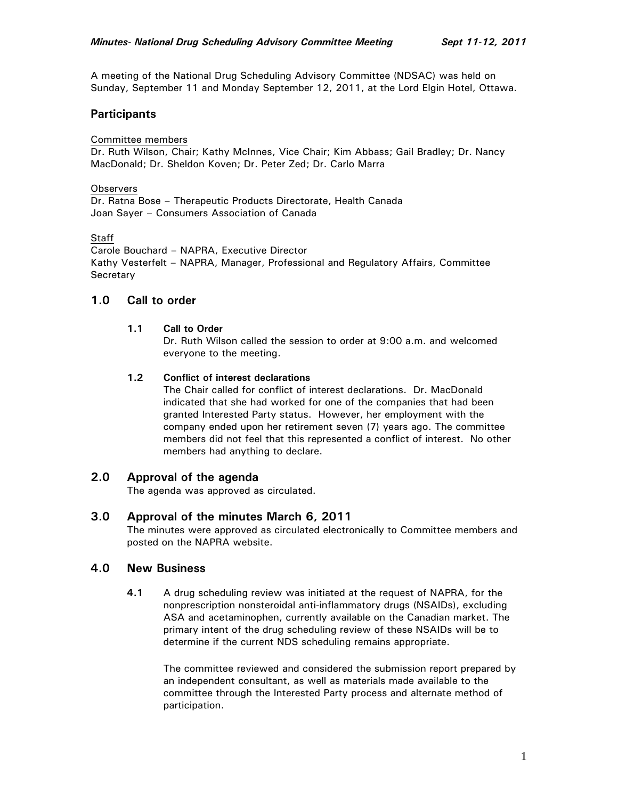A meeting of the National Drug Scheduling Advisory Committee (NDSAC) was held on Sunday, September 11 and Monday September 12, 2011, at the Lord Elgin Hotel, Ottawa.

## **Participants**

#### Committee members

Dr. Ruth Wilson, Chair; Kathy McInnes, Vice Chair; Kim Abbass; Gail Bradley; Dr. Nancy MacDonald; Dr. Sheldon Koven; Dr. Peter Zed; Dr. Carlo Marra

#### **Observers**

Dr. Ratna Bose – Therapeutic Products Directorate, Health Canada Joan Sayer – Consumers Association of Canada

#### Staff

Carole Bouchard – NAPRA, Executive Director Kathy Vesterfelt – NAPRA, Manager, Professional and Regulatory Affairs, Committee **Secretary** 

### **1.0 Call to order**

### **1.1 Call to Order**

Dr. Ruth Wilson called the session to order at 9:00 a.m. and welcomed everyone to the meeting.

### **1.2 Conflict of interest declarations**

The Chair called for conflict of interest declarations. Dr. MacDonald indicated that she had worked for one of the companies that had been granted Interested Party status. However, her employment with the company ended upon her retirement seven (7) years ago. The committee members did not feel that this represented a conflict of interest. No other members had anything to declare.

# **2.0 Approval of the agenda**

The agenda was approved as circulated.

## **3.0 Approval of the minutes March 6, 2011**

The minutes were approved as circulated electronically to Committee members and posted on the NAPRA website.

### **4.0 New Business**

**4.1** A drug scheduling review was initiated at the request of NAPRA, for the nonprescription nonsteroidal anti-inflammatory drugs (NSAIDs), excluding ASA and acetaminophen, currently available on the Canadian market. The primary intent of the drug scheduling review of these NSAIDs will be to determine if the current NDS scheduling remains appropriate.

The committee reviewed and considered the submission report prepared by an independent consultant, as well as materials made available to the committee through the Interested Party process and alternate method of participation.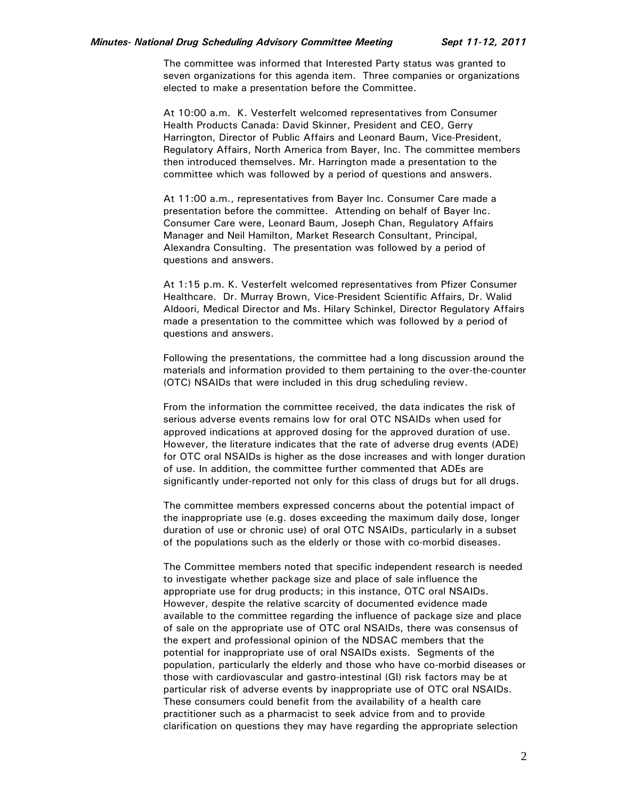The committee was informed that Interested Party status was granted to seven organizations for this agenda item. Three companies or organizations elected to make a presentation before the Committee.

At 10:00 a.m. K. Vesterfelt welcomed representatives from Consumer Health Products Canada: David Skinner, President and CEO, Gerry Harrington, Director of Public Affairs and Leonard Baum, Vice-President, Regulatory Affairs, North America from Bayer, Inc. The committee members then introduced themselves. Mr. Harrington made a presentation to the committee which was followed by a period of questions and answers.

At 11:00 a.m., representatives from Bayer Inc. Consumer Care made a presentation before the committee. Attending on behalf of Bayer Inc. Consumer Care were, Leonard Baum, Joseph Chan, Regulatory Affairs Manager and Neil Hamilton, Market Research Consultant, Principal, Alexandra Consulting. The presentation was followed by a period of questions and answers.

At 1:15 p.m. K. Vesterfelt welcomed representatives from Pfizer Consumer Healthcare. Dr. Murray Brown, Vice-President Scientific Affairs, Dr. Walid Aldoori, Medical Director and Ms. Hilary Schinkel, Director Regulatory Affairs made a presentation to the committee which was followed by a period of questions and answers.

Following the presentations, the committee had a long discussion around the materials and information provided to them pertaining to the over-the-counter (OTC) NSAIDs that were included in this drug scheduling review.

From the information the committee received, the data indicates the risk of serious adverse events remains low for oral OTC NSAIDs when used for approved indications at approved dosing for the approved duration of use. However, the literature indicates that the rate of adverse drug events (ADE) for OTC oral NSAIDs is higher as the dose increases and with longer duration of use. In addition, the committee further commented that ADEs are significantly under-reported not only for this class of drugs but for all drugs.

The committee members expressed concerns about the potential impact of the inappropriate use (e.g. doses exceeding the maximum daily dose, longer duration of use or chronic use) of oral OTC NSAIDs, particularly in a subset of the populations such as the elderly or those with co-morbid diseases.

The Committee members noted that specific independent research is needed to investigate whether package size and place of sale influence the appropriate use for drug products; in this instance, OTC oral NSAIDs. However, despite the relative scarcity of documented evidence made available to the committee regarding the influence of package size and place of sale on the appropriate use of OTC oral NSAIDs, there was consensus of the expert and professional opinion of the NDSAC members that the potential for inappropriate use of oral NSAIDs exists. Segments of the population, particularly the elderly and those who have co-morbid diseases or those with cardiovascular and gastro-intestinal (GI) risk factors may be at particular risk of adverse events by inappropriate use of OTC oral NSAIDs. These consumers could benefit from the availability of a health care practitioner such as a pharmacist to seek advice from and to provide clarification on questions they may have regarding the appropriate selection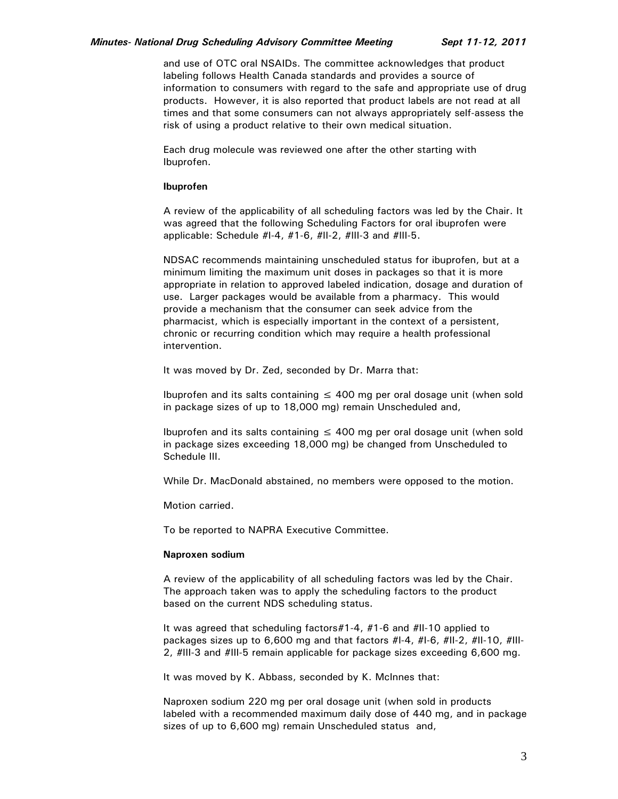#### *Minutes- National Drug Scheduling Advisory Committee Meeting Sept 11-12, 2011*

and use of OTC oral NSAIDs. The committee acknowledges that product labeling follows Health Canada standards and provides a source of information to consumers with regard to the safe and appropriate use of drug products. However, it is also reported that product labels are not read at all times and that some consumers can not always appropriately self-assess the risk of using a product relative to their own medical situation.

Each drug molecule was reviewed one after the other starting with Ibuprofen.

#### **Ibuprofen**

A review of the applicability of all scheduling factors was led by the Chair. It was agreed that the following Scheduling Factors for oral ibuprofen were applicable: Schedule #I-4, #1-6, #II-2, #III-3 and #III-5.

NDSAC recommends maintaining unscheduled status for ibuprofen, but at a minimum limiting the maximum unit doses in packages so that it is more appropriate in relation to approved labeled indication, dosage and duration of use. Larger packages would be available from a pharmacy. This would provide a mechanism that the consumer can seek advice from the pharmacist, which is especially important in the context of a persistent, chronic or recurring condition which may require a health professional intervention.

It was moved by Dr. Zed, seconded by Dr. Marra that:

Ibuprofen and its salts containing  $\leq 400$  mg per oral dosage unit (when sold in package sizes of up to 18,000 mg) remain Unscheduled and,

Ibuprofen and its salts containing  $\leq$  400 mg per oral dosage unit (when sold in package sizes exceeding 18,000 mg) be changed from Unscheduled to Schedule III.

While Dr. MacDonald abstained, no members were opposed to the motion.

Motion carried.

To be reported to NAPRA Executive Committee.

#### **Naproxen sodium**

A review of the applicability of all scheduling factors was led by the Chair. The approach taken was to apply the scheduling factors to the product based on the current NDS scheduling status.

It was agreed that scheduling factors#1-4, #1-6 and #II-10 applied to packages sizes up to 6,600 mg and that factors #I-4, #I-6, #II-2, #II-10, #III-2, #III-3 and #III-5 remain applicable for package sizes exceeding 6,600 mg.

It was moved by K. Abbass, seconded by K. McInnes that:

Naproxen sodium 220 mg per oral dosage unit (when sold in products labeled with a recommended maximum daily dose of 440 mg, and in package sizes of up to 6,600 mg) remain Unscheduled status and,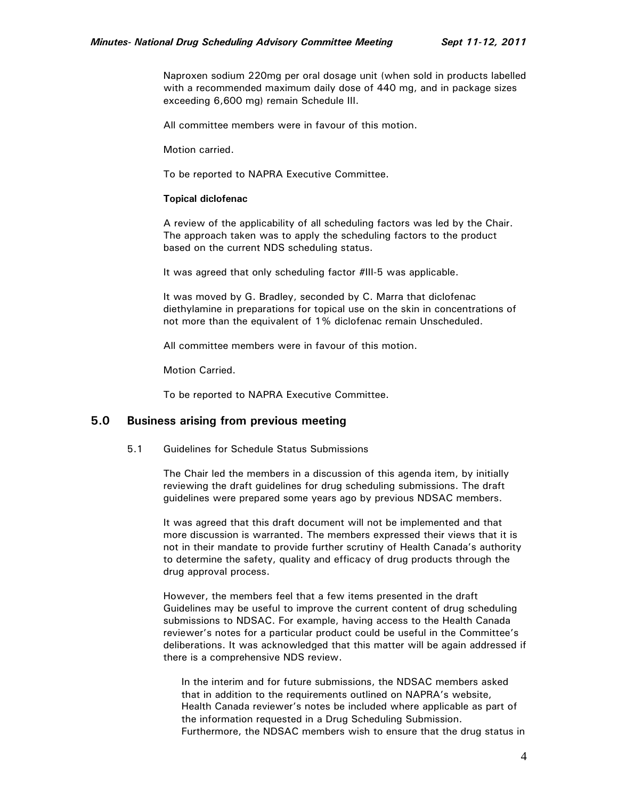Naproxen sodium 220mg per oral dosage unit (when sold in products labelled with a recommended maximum daily dose of 440 mg, and in package sizes exceeding 6,600 mg) remain Schedule III.

All committee members were in favour of this motion.

Motion carried.

To be reported to NAPRA Executive Committee.

#### **Topical diclofenac**

A review of the applicability of all scheduling factors was led by the Chair. The approach taken was to apply the scheduling factors to the product based on the current NDS scheduling status.

It was agreed that only scheduling factor #III-5 was applicable.

It was moved by G. Bradley, seconded by C. Marra that diclofenac diethylamine in preparations for topical use on the skin in concentrations of not more than the equivalent of 1% diclofenac remain Unscheduled.

All committee members were in favour of this motion.

Motion Carried.

To be reported to NAPRA Executive Committee.

### **5.0 Business arising from previous meeting**

#### 5.1 Guidelines for Schedule Status Submissions

The Chair led the members in a discussion of this agenda item, by initially reviewing the draft guidelines for drug scheduling submissions. The draft guidelines were prepared some years ago by previous NDSAC members.

It was agreed that this draft document will not be implemented and that more discussion is warranted. The members expressed their views that it is not in their mandate to provide further scrutiny of Health Canada's authority to determine the safety, quality and efficacy of drug products through the drug approval process.

However, the members feel that a few items presented in the draft Guidelines may be useful to improve the current content of drug scheduling submissions to NDSAC. For example, having access to the Health Canada reviewer's notes for a particular product could be useful in the Committee's deliberations. It was acknowledged that this matter will be again addressed if there is a comprehensive NDS review.

In the interim and for future submissions, the NDSAC members asked that in addition to the requirements outlined on NAPRA's website, Health Canada reviewer's notes be included where applicable as part of the information requested in a Drug Scheduling Submission. Furthermore, the NDSAC members wish to ensure that the drug status in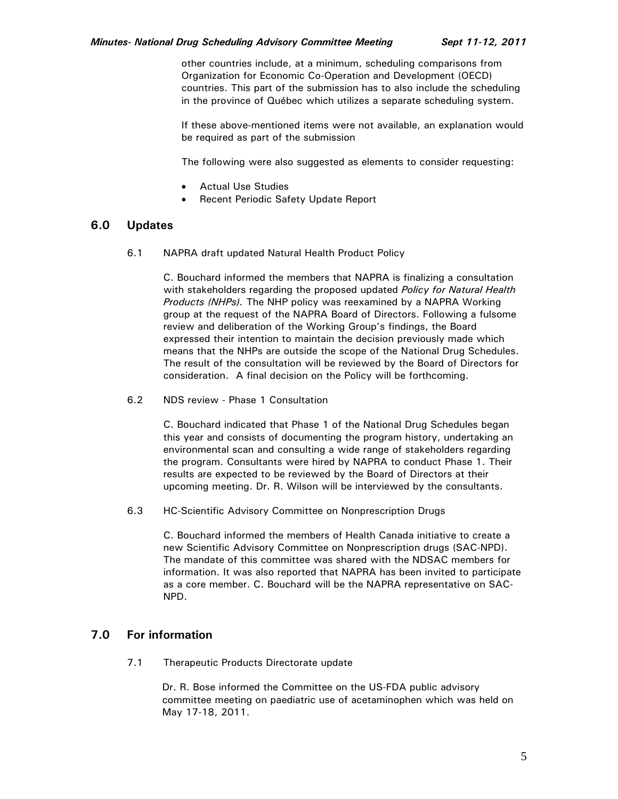other countries include, at a minimum, scheduling comparisons from Organization for Economic Co-Operation and Development (OECD) countries. This part of the submission has to also include the scheduling in the province of Québec which utilizes a separate scheduling system.

If these above-mentioned items were not available, an explanation would be required as part of the submission

The following were also suggested as elements to consider requesting:

- Actual Use Studies
- Recent Periodic Safety Update Report

## **6.0 Updates**

6.1 NAPRA draft updated Natural Health Product Policy

C. Bouchard informed the members that NAPRA is finalizing a consultation with stakeholders regarding the proposed updated *Policy for Natural Health Products (NHPs).* The NHP policy was reexamined by a NAPRA Working group at the request of the NAPRA Board of Directors. Following a fulsome review and deliberation of the Working Group's findings, the Board expressed their intention to maintain the decision previously made which means that the NHPs are outside the scope of the National Drug Schedules. The result of the consultation will be reviewed by the Board of Directors for consideration. A final decision on the Policy will be forthcoming.

6.2 NDS review - Phase 1 Consultation

C. Bouchard indicated that Phase 1 of the National Drug Schedules began this year and consists of documenting the program history, undertaking an environmental scan and consulting a wide range of stakeholders regarding the program. Consultants were hired by NAPRA to conduct Phase 1. Their results are expected to be reviewed by the Board of Directors at their upcoming meeting. Dr. R. Wilson will be interviewed by the consultants.

6.3 HC-Scientific Advisory Committee on Nonprescription Drugs

C. Bouchard informed the members of Health Canada initiative to create a new Scientific Advisory Committee on Nonprescription drugs (SAC-NPD). The mandate of this committee was shared with the NDSAC members for information. It was also reported that NAPRA has been invited to participate as a core member. C. Bouchard will be the NAPRA representative on SAC-NPD.

# **7.0 For information**

7.1 Therapeutic Products Directorate update

 Dr. R. Bose informed the Committee on the US-FDA public advisory committee meeting on paediatric use of acetaminophen which was held on May 17-18, 2011.